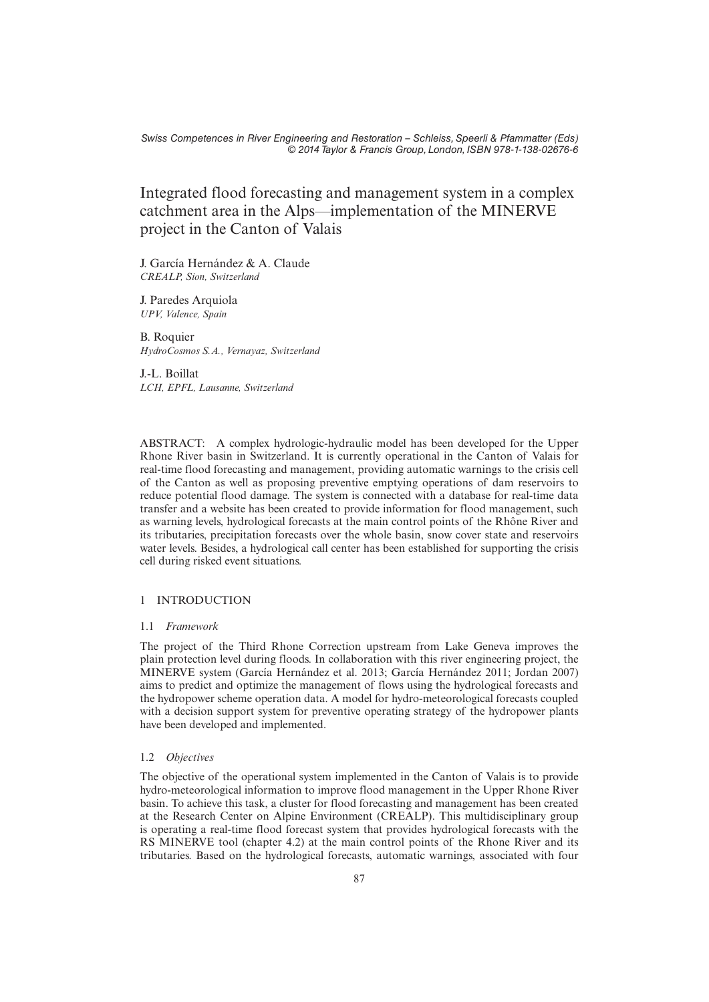Swiss Competences in River Engineering and Restoration – Schleiss, Speerli & Pfammatter (Eds) © 2014 Taylor & Francis Group, London, ISBN 978-1-138-02676-6

Integrated flood forecasting and management system in a complex catchment area in the Alps—implementation of the MINERVE project in the Canton of Valais

J. García Hernández & A. Claude *CREALP, Sion, Switzerland*

J. Paredes Arquiola *UPV, Valence, Spain*

B. Roquier *HydroCosmos S.A., Vernayaz, Switzerland*

J.-L. Boillat *LCH, EPFL, Lausanne, Switzerland*

ABSTRACT: A complex hydrologic-hydraulic model has been developed for the Upper Rhone River basin in Switzerland. It is currently operational in the Canton of Valais for real-time flood forecasting and management, providing automatic warnings to the crisis cell of the Canton as well as proposing preventive emptying operations of dam reservoirs to reduce potential flood damage. The system is connected with a database for real-time data transfer and a website has been created to provide information for flood management, such as warning levels, hydrological forecasts at the main control points of the Rhône River and its tributaries, precipitation forecasts over the whole basin, snow cover state and reservoirs water levels. Besides, a hydrological call center has been established for supporting the crisis cell during risked event situations.

### 1 INTRODUCTION

### 1.1 *Framework*

The project of the Third Rhone Correction upstream from Lake Geneva improves the plain protection level during floods. In collaboration with this river engineering project, the MINERVE system (García Hernández et al. 2013; García Hernández 2011; Jordan 2007) aims to predict and optimize the management of flows using the hydrological forecasts and the hydropower scheme operation data. A model for hydro-meteorological forecasts coupled with a decision support system for preventive operating strategy of the hydropower plants have been developed and implemented.

#### 1.2 *Objectives*

The objective of the operational system implemented in the Canton of Valais is to provide hydro-meteorological information to improve flood management in the Upper Rhone River basin. To achieve this task, a cluster for flood forecasting and management has been created at the Research Center on Alpine Environment (CREALP). This multidisciplinary group is operating a real-time flood forecast system that provides hydrological forecasts with the RS MINERVE tool (chapter 4.2) at the main control points of the Rhone River and its tributaries. Based on the hydrological forecasts, automatic warnings, associated with four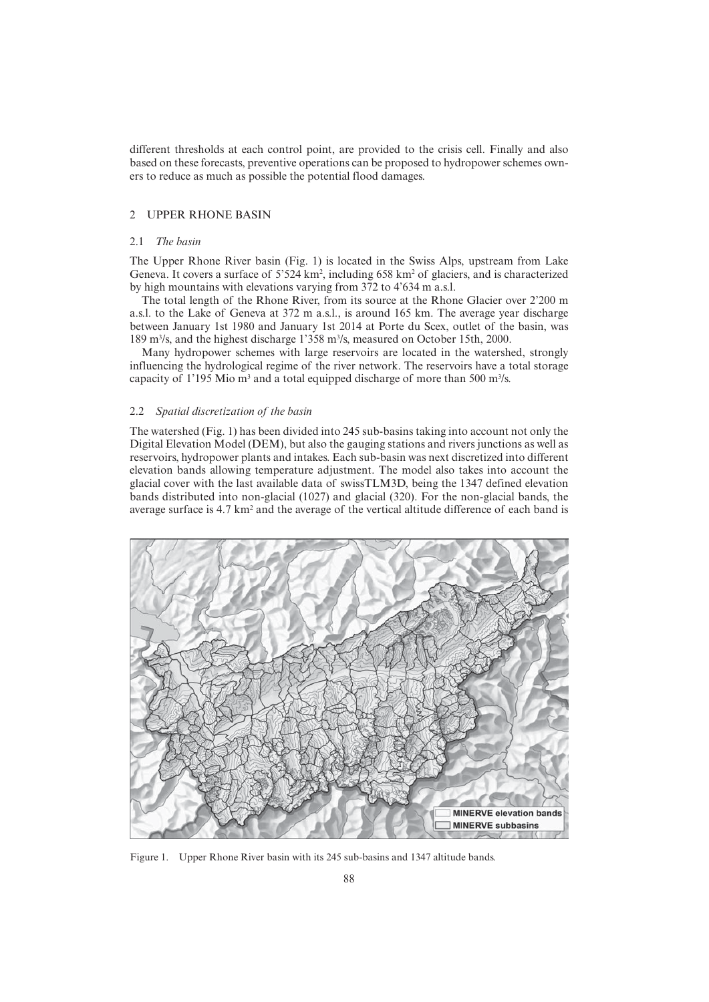different thresholds at each control point, are provided to the crisis cell. Finally and also based on these forecasts, preventive operations can be proposed to hydropower schemes owners to reduce as much as possible the potential flood damages.

# 2 UPPER RHONE BASIN

### 2.1 *The basin*

The Upper Rhone River basin (Fig. 1) is located in the Swiss Alps, upstream from Lake Geneva. It covers a surface of  $5^{\circ}524 \text{ km}^2$ , including 658 km<sup>2</sup> of glaciers, and is characterized by high mountains with elevations varying from 372 to 4'634 m a.s.l.

The total length of the Rhone River, from its source at the Rhone Glacier over 2'200 m a.s.l. to the Lake of Geneva at 372 m a.s.l., is around 165 km. The average year discharge between January 1st 1980 and January 1st 2014 at Porte du Scex, outlet of the basin, was 189 m3 /s, and the highest discharge 1'358 m3 /s, measured on October 15th, 2000.

Many hydropower schemes with large reservoirs are located in the watershed, strongly influencing the hydrological regime of the river network. The reservoirs have a total storage capacity of 1'195 Mio m<sup>3</sup> and a total equipped discharge of more than 500 m<sup>3</sup>/s.

## 2.2 *Spatial discretization of the basin*

The watershed (Fig. 1) has been divided into 245 sub-basins taking into account not only the Digital Elevation Model (DEM), but also the gauging stations and rivers junctions as well as reservoirs, hydropower plants and intakes. Each sub-basin was next discretized into different elevation bands allowing temperature adjustment. The model also takes into account the glacial cover with the last available data of swissTLM3D, being the 1347 defined elevation bands distributed into non-glacial (1027) and glacial (320). For the non-glacial bands, the average surface is 4.7 km<sup>2</sup> and the average of the vertical altitude difference of each band is



Figure 1. Upper Rhone River basin with its 245 sub-basins and 1347 altitude bands.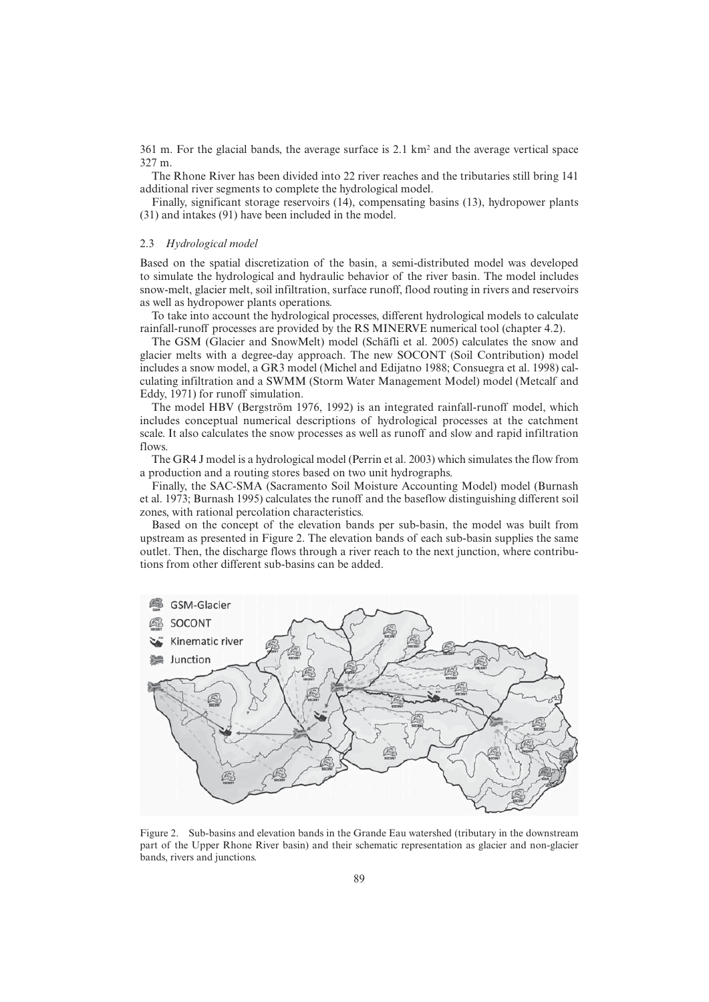$361$  m. For the glacial bands, the average surface is  $2.1 \text{ km}^2$  and the average vertical space 327 m.

The Rhone River has been divided into 22 river reaches and the tributaries still bring 141 additional river segments to complete the hydrological model.

Finally, significant storage reservoirs (14), compensating basins (13), hydropower plants (31) and intakes (91) have been included in the model.

### 2.3 *Hydrological model*

Based on the spatial discretization of the basin, a semi-distributed model was developed to simulate the hydrological and hydraulic behavior of the river basin. The model includes snow-melt, glacier melt, soil infiltration, surface runoff, flood routing in rivers and reservoirs as well as hydropower plants operations.

To take into account the hydrological processes, different hydrological models to calculate rainfall-runoff processes are provided by the RS MINERVE numerical tool (chapter 4.2).

The GSM (Glacier and SnowMelt) model (Schäfli et al. 2005) calculates the snow and glacier melts with a degree-day approach. The new SOCONT (Soil Contribution) model includes a snow model, a GR3 model (Michel and Edijatno 1988; Consuegra et al. 1998) calculating infiltration and a SWMM (Storm Water Management Model) model (Metcalf and Eddy, 1971) for runoff simulation.

The model HBV (Bergström 1976, 1992) is an integrated rainfall-runoff model, which includes conceptual numerical descriptions of hydrological processes at the catchment scale. It also calculates the snow processes as well as runoff and slow and rapid infiltration flows.

The GR4 J model is a hydrological model (Perrin et al. 2003) which simulates the flow from a production and a routing stores based on two unit hydrographs.

Finally, the SAC-SMA (Sacramento Soil Moisture Accounting Model) model (Burnash et al. 1973; Burnash 1995) calculates the runoff and the baseflow distinguishing different soil zones, with rational percolation characteristics.

Based on the concept of the elevation bands per sub-basin, the model was built from upstream as presented in Figure 2. The elevation bands of each sub-basin supplies the same outlet. Then, the discharge flows through a river reach to the next junction, where contributions from other different sub-basins can be added.



Figure 2. Sub-basins and elevation bands in the Grande Eau watershed (tributary in the downstream part of the Upper Rhone River basin) and their schematic representation as glacier and non-glacier bands, rivers and junctions.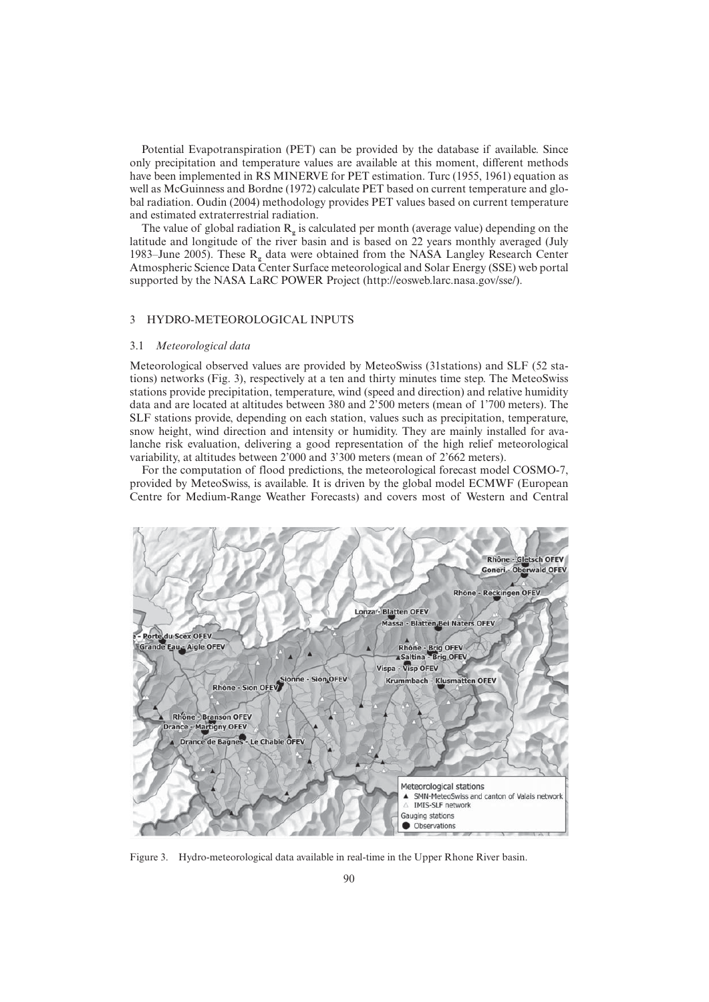Potential Evapotranspiration (PET) can be provided by the database if available. Since only precipitation and temperature values are available at this moment, different methods have been implemented in RS MINERVE for PET estimation. Turc (1955, 1961) equation as well as McGuinness and Bordne (1972) calculate PET based on current temperature and global radiation. Oudin (2004) methodology provides PET values based on current temperature and estimated extraterrestrial radiation.

The value of global radiation  $R_g$  is calculated per month (average value) depending on the itude and longitude of the river begin and is beged on 22 years monthly guaraged (byly latitude and longitude of the river basin and is based on 22 years monthly averaged (July 1983–June 2005). These  $R_g$  data were obtained from the NASA Langley Research Center Atmospheric Science Data Center Surface meteorological and Solar Energy (SSE) web portal Atmospheric Science Data Center Surface meteorological and Solar Energy (SSE) web portal supported by the NASA LaRC POWER Project (http://eosweb.larc.nasa.gov/sse/).

#### 3 HYDRO-METEOROLOGICAL INPUTS

#### 3.1 *Meteorological data*

Meteorological observed values are provided by MeteoSwiss (31stations) and SLF (52 stations) networks (Fig. 3), respectively at a ten and thirty minutes time step. The MeteoSwiss stations provide precipitation, temperature, wind (speed and direction) and relative humidity data and are located at altitudes between 380 and 2'500 meters (mean of 1'700 meters). The SLF stations provide, depending on each station, values such as precipitation, temperature, snow height, wind direction and intensity or humidity. They are mainly installed for avalanche risk evaluation, delivering a good representation of the high relief meteorological variability, at altitudes between 2'000 and 3'300 meters (mean of 2'662 meters).

For the computation of flood predictions, the meteorological forecast model COSMO-7, provided by MeteoSwiss, is available. It is driven by the global model ECMWF (European Centre for Medium-Range Weather Forecasts) and covers most of Western and Central



Figure 3. Hydro-meteorological data available in real-time in the Upper Rhone River basin.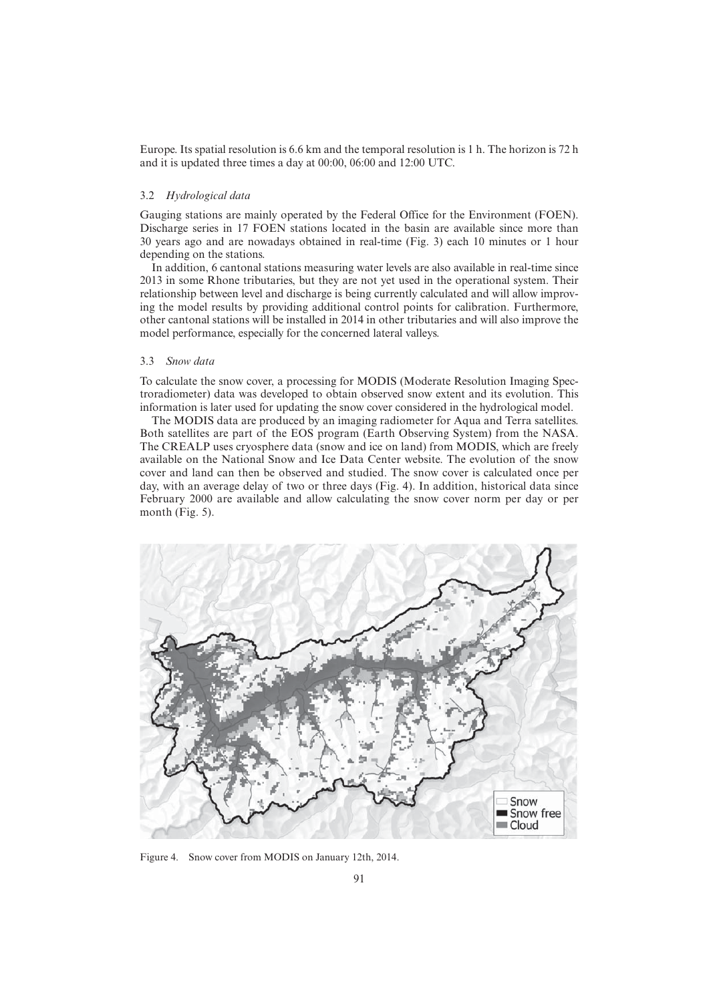Europe. Its spatial resolution is 6.6 km and the temporal resolution is 1 h. The horizon is 72 h and it is updated three times a day at 00:00, 06:00 and 12:00 UTC.

## 3.2 *Hydrological data*

Gauging stations are mainly operated by the Federal Office for the Environment (FOEN). Discharge series in 17 FOEN stations located in the basin are available since more than 30 years ago and are nowadays obtained in real-time (Fig. 3) each 10 minutes or 1 hour depending on the stations.

In addition, 6 cantonal stations measuring water levels are also available in real-time since 2013 in some Rhone tributaries, but they are not yet used in the operational system. Their relationship between level and discharge is being currently calculated and will allow improving the model results by providing additional control points for calibration. Furthermore, other cantonal stations will be installed in 2014 in other tributaries and will also improve the model performance, especially for the concerned lateral valleys.

### 3.3 *Snow data*

To calculate the snow cover, a processing for MODIS (Moderate Resolution Imaging Spectroradiometer) data was developed to obtain observed snow extent and its evolution. This information is later used for updating the snow cover considered in the hydrological model.

The MODIS data are produced by an imaging radiometer for Aqua and Terra satellites. Both satellites are part of the EOS program (Earth Observing System) from the NASA. The CREALP uses cryosphere data (snow and ice on land) from MODIS, which are freely available on the National Snow and Ice Data Center website. The evolution of the snow cover and land can then be observed and studied. The snow cover is calculated once per day, with an average delay of two or three days (Fig. 4). In addition, historical data since February 2000 are available and allow calculating the snow cover norm per day or per month (Fig. 5).



Figure 4. Snow cover from MODIS on January 12th, 2014.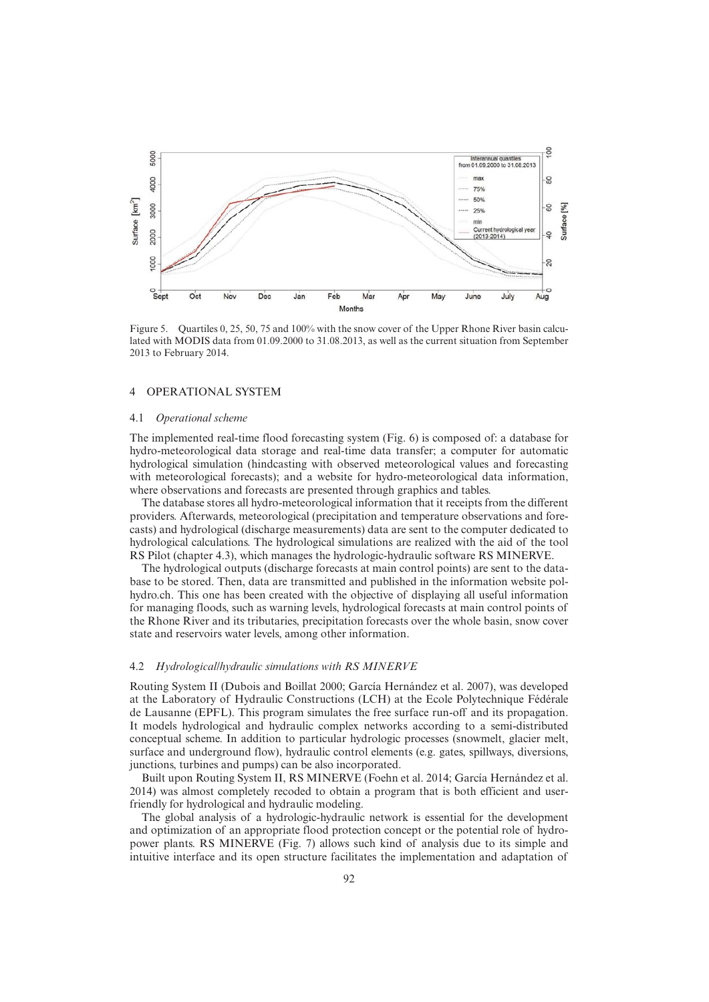

Figure 5. Quartiles 0, 25, 50, 75 and 100% with the snow cover of the Upper Rhone River basin calculated with MODIS data from 01.09.2000 to 31.08.2013, as well as the current situation from September 2013 to February 2014.

## 4 OPERATIONAL SYSTEM

#### 4.1 *Operational scheme*

The implemented real-time flood forecasting system (Fig. 6) is composed of: a database for hydro-meteorological data storage and real-time data transfer; a computer for automatic hydrological simulation (hindcasting with observed meteorological values and forecasting with meteorological forecasts); and a website for hydro-meteorological data information, where observations and forecasts are presented through graphics and tables.

The database stores all hydro-meteorological information that it receipts from the different providers. Afterwards, meteorological (precipitation and temperature observations and forecasts) and hydrological (discharge measurements) data are sent to the computer dedicated to hydrological calculations. The hydrological simulations are realized with the aid of the tool RS Pilot (chapter 4.3), which manages the hydrologic-hydraulic software RS MINERVE.

The hydrological outputs (discharge forecasts at main control points) are sent to the database to be stored. Then, data are transmitted and published in the information website polhydro.ch. This one has been created with the objective of displaying all useful information for managing floods, such as warning levels, hydrological forecasts at main control points of the Rhone River and its tributaries, precipitation forecasts over the whole basin, snow cover state and reservoirs water levels, among other information.

#### 4.2 *Hydrological/hydraulic simulations with RS MINERVE*

Routing System II (Dubois and Boillat 2000; García Hernández et al. 2007), was developed at the Laboratory of Hydraulic Constructions (LCH) at the Ecole Polytechnique Fédérale de Lausanne (EPFL). This program simulates the free surface run-off and its propagation. It models hydrological and hydraulic complex networks according to a semi-distributed conceptual scheme. In addition to particular hydrologic processes (snowmelt, glacier melt, surface and underground flow), hydraulic control elements (e.g. gates, spillways, diversions, junctions, turbines and pumps) can be also incorporated.

Built upon Routing System II, RS MINERVE (Foehn et al. 2014; García Hernández et al. 2014) was almost completely recoded to obtain a program that is both efficient and userfriendly for hydrological and hydraulic modeling.

The global analysis of a hydrologic-hydraulic network is essential for the development and optimization of an appropriate flood protection concept or the potential role of hydropower plants. RS MINERVE (Fig. 7) allows such kind of analysis due to its simple and intuitive interface and its open structure facilitates the implementation and adaptation of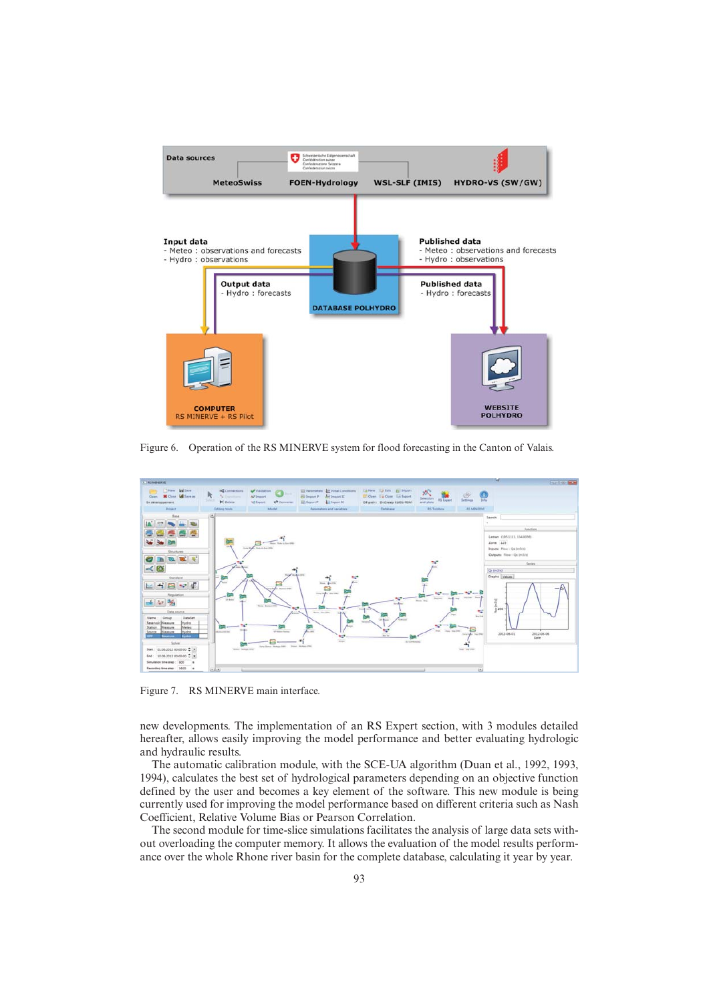

Figure 6. Operation of the RS MINERVE system for flood forecasting in the Canton of Valais.



Figure 7. RS MINERVE main interface.

new developments. The implementation of an RS Expert section, with 3 modules detailed hereafter, allows easily improving the model performance and better evaluating hydrologic and hydraulic results.

The automatic calibration module, with the SCE-UA algorithm (Duan et al., 1992, 1993, 1994), calculates the best set of hydrological parameters depending on an objective function defined by the user and becomes a key element of the software. This new module is being currently used for improving the model performance based on different criteria such as Nash Coefficient, Relative Volume Bias or Pearson Correlation.

The second module for time-slice simulations facilitates the analysis of large data sets without overloading the computer memory. It allows the evaluation of the model results performance over the whole Rhone river basin for the complete database, calculating it year by year.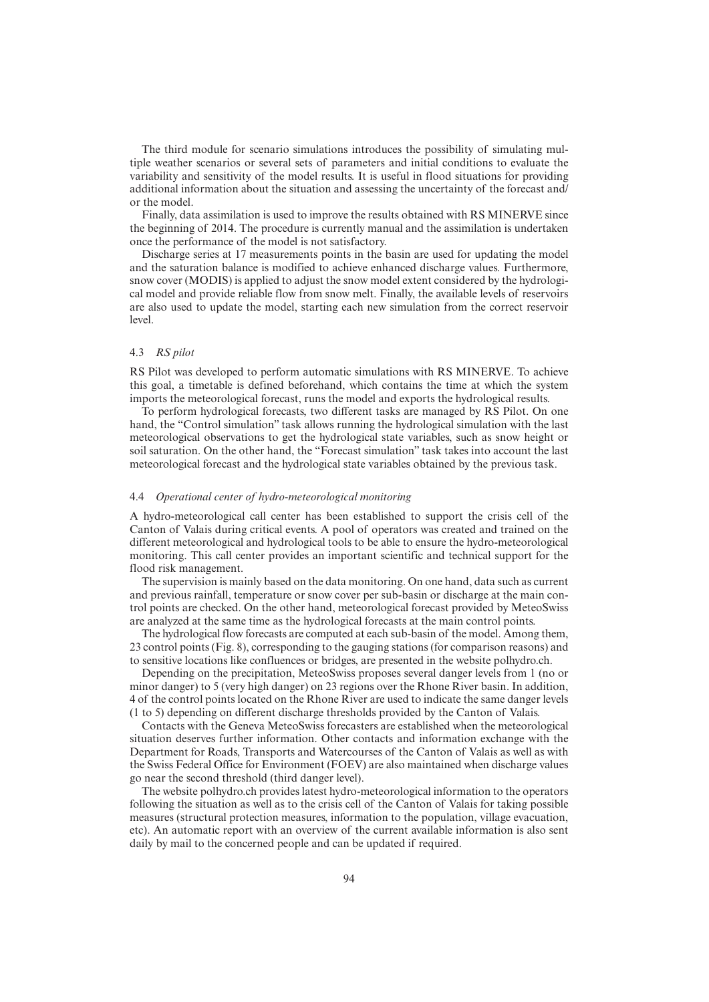The third module for scenario simulations introduces the possibility of simulating multiple weather scenarios or several sets of parameters and initial conditions to evaluate the variability and sensitivity of the model results. It is useful in flood situations for providing additional information about the situation and assessing the uncertainty of the forecast and/ or the model.

Finally, data assimilation is used to improve the results obtained with RS MINERVE since the beginning of 2014. The procedure is currently manual and the assimilation is undertaken once the performance of the model is not satisfactory.

Discharge series at 17 measurements points in the basin are used for updating the model and the saturation balance is modified to achieve enhanced discharge values. Furthermore, snow cover (MODIS) is applied to adjust the snow model extent considered by the hydrological model and provide reliable flow from snow melt. Finally, the available levels of reservoirs are also used to update the model, starting each new simulation from the correct reservoir level.

## 4.3 *RS pilot*

RS Pilot was developed to perform automatic simulations with RS MINERVE. To achieve this goal, a timetable is defined beforehand, which contains the time at which the system imports the meteorological forecast, runs the model and exports the hydrological results.

To perform hydrological forecasts, two different tasks are managed by RS Pilot. On one hand, the "Control simulation" task allows running the hydrological simulation with the last meteorological observations to get the hydrological state variables, such as snow height or soil saturation. On the other hand, the "Forecast simulation" task takes into account the last meteorological forecast and the hydrological state variables obtained by the previous task.

#### 4.4 *Operational center of hydro-meteorological monitoring*

A hydro-meteorological call center has been established to support the crisis cell of the Canton of Valais during critical events. A pool of operators was created and trained on the different meteorological and hydrological tools to be able to ensure the hydro-meteorological monitoring. This call center provides an important scientific and technical support for the flood risk management.

The supervision is mainly based on the data monitoring. On one hand, data such as current and previous rainfall, temperature or snow cover per sub-basin or discharge at the main control points are checked. On the other hand, meteorological forecast provided by MeteoSwiss are analyzed at the same time as the hydrological forecasts at the main control points.

The hydrological flow forecasts are computed at each sub-basin of the model. Among them, 23 control points (Fig. 8), corresponding to the gauging stations (for comparison reasons) and to sensitive locations like confluences or bridges, are presented in the website polhydro.ch.

Depending on the precipitation, MeteoSwiss proposes several danger levels from 1 (no or minor danger) to 5 (very high danger) on 23 regions over the Rhone River basin. In addition, 4 of the control points located on the Rhone River are used to indicate the same danger levels (1 to 5) depending on different discharge thresholds provided by the Canton of Valais.

Contacts with the Geneva MeteoSwiss forecasters are established when the meteorological situation deserves further information. Other contacts and information exchange with the Department for Roads, Transports and Watercourses of the Canton of Valais as well as with the Swiss Federal Office for Environment (FOEV) are also maintained when discharge values go near the second threshold (third danger level).

The website polhydro.ch provides latest hydro-meteorological information to the operators following the situation as well as to the crisis cell of the Canton of Valais for taking possible measures (structural protection measures, information to the population, village evacuation, etc). An automatic report with an overview of the current available information is also sent daily by mail to the concerned people and can be updated if required.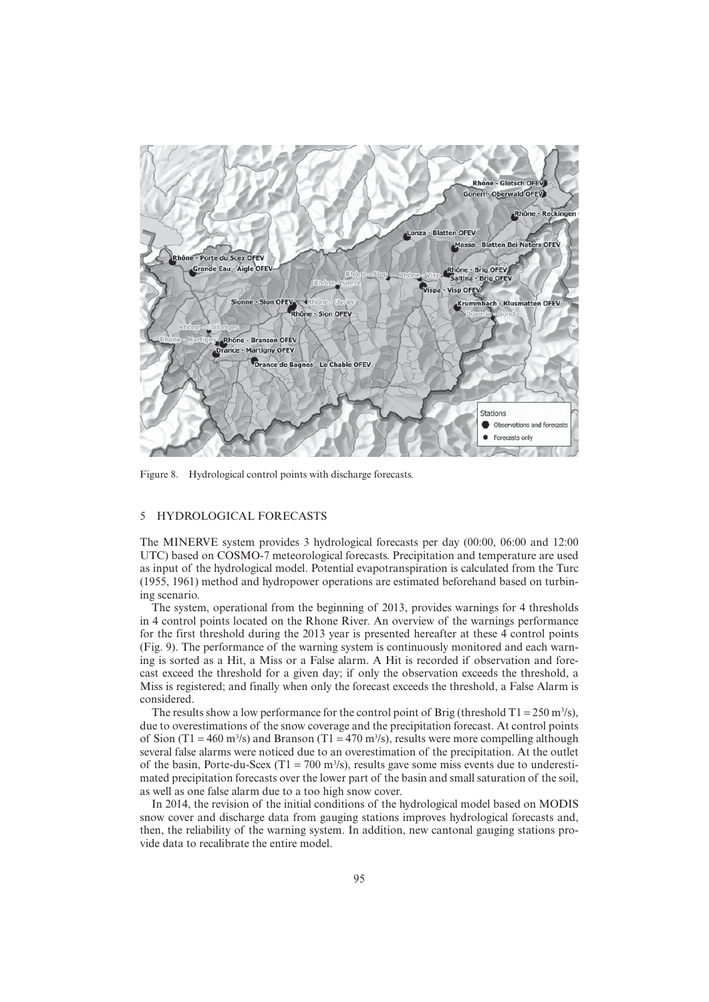

Figure 8. Hydrological control points with discharge forecasts.

# 5 HYDROLOGICAL FORECASTS

The MINERVE system provides 3 hydrological forecasts per day (00:00, 06:00 and 12:00 UTC) based on COSMO-7 meteorological forecasts. Precipitation and temperature are used as input of the hydrological model. Potential evapotranspiration is calculated from the Turc (1955, 1961) method and hydropower operations are estimated beforehand based on turbining scenario.

The system, operational from the beginning of 2013, provides warnings for 4 thresholds in 4 control points located on the Rhone River. An overview of the warnings performance for the first threshold during the 2013 year is presented hereafter at these 4 control points (Fig. 9). The performance of the warning system is continuously monitored and each warning is sorted as a Hit, a Miss or a False alarm. A Hit is recorded if observation and forecast exceed the threshold for a given day; if only the observation exceeds the threshold, a Miss is registered; and finally when only the forecast exceeds the threshold, a False Alarm is considered.

The results show a low performance for the control point of Brig (threshold  $T1 = 250$  m<sup>3</sup>/s), due to overestimations of the snow coverage and the precipitation forecast. At control points of Sion (T1 = 460 m<sup>3</sup>/s) and Branson (T1 = 470 m<sup>3</sup>/s), results were more compelling although several false alarms were noticed due to an overestimation of the precipitation. At the outlet of the basin, Porte-du-Scex (T1 = 700 m<sup>3</sup>/s), results gave some miss events due to underestimated precipitation forecasts over the lower part of the basin and small saturation of the soil, as well as one false alarm due to a too high snow cover.

In 2014, the revision of the initial conditions of the hydrological model based on MODIS snow cover and discharge data from gauging stations improves hydrological forecasts and, then, the reliability of the warning system. In addition, new cantonal gauging stations provide data to recalibrate the entire model.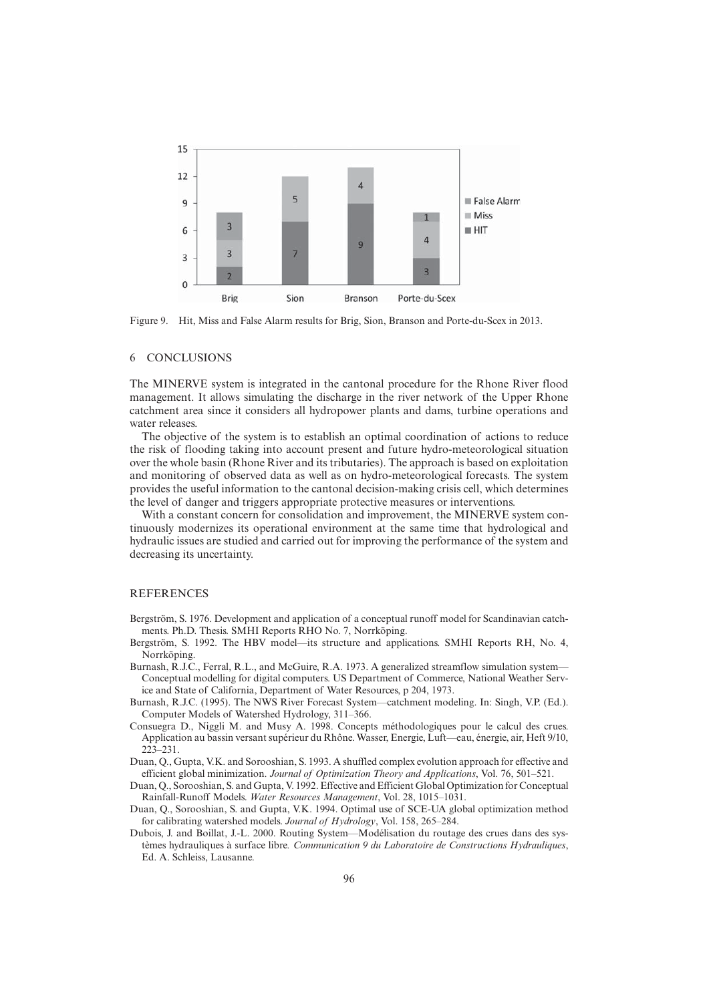

Figure 9. Hit, Miss and False Alarm results for Brig, Sion, Branson and Porte-du-Scex in 2013.

#### 6 CONCLUSIONS

The MINERVE system is integrated in the cantonal procedure for the Rhone River flood management. It allows simulating the discharge in the river network of the Upper Rhone catchment area since it considers all hydropower plants and dams, turbine operations and water releases.

The objective of the system is to establish an optimal coordination of actions to reduce the risk of flooding taking into account present and future hydro-meteorological situation over the whole basin (Rhone River and its tributaries). The approach is based on exploitation and monitoring of observed data as well as on hydro-meteorological forecasts. The system provides the useful information to the cantonal decision-making crisis cell, which determines the level of danger and triggers appropriate protective measures or interventions.

With a constant concern for consolidation and improvement, the MINERVE system continuously modernizes its operational environment at the same time that hydrological and hydraulic issues are studied and carried out for improving the performance of the system and decreasing its uncertainty.

#### REFERENCES

- Bergström, S. 1976. Development and application of a conceptual runoff model for Scandinavian catchments. Ph.D. Thesis. SMHI Reports RHO No. 7, Norrköping.
- Bergström, S. 1992. The HBV model—its structure and applications. SMHI Reports RH, No. 4, Norrköping.
- Burnash, R.J.C., Ferral, R.L., and McGuire, R.A. 1973. A generalized streamflow simulation system— Conceptual modelling for digital computers. US Department of Commerce, National Weather Service and State of California, Department of Water Resources, p 204, 1973.
- Burnash, R.J.C. (1995). The NWS River Forecast System—catchment modeling. In: Singh, V.P. (Ed.). Computer Models of Watershed Hydrology, 311–366.
- Consuegra D., Niggli M. and Musy A. 1998. Concepts méthodologiques pour le calcul des crues. Application au bassin versant supérieur du Rhône. Wasser, Energie, Luft—eau, énergie, air, Heft 9/10,  $223 - 231$
- Duan, Q., Gupta, V.K. and Sorooshian, S. 1993. A shuffled complex evolution approach for effective and efficient global minimization. *Journal of Optimization Theory and Applications*, Vol. 76, 501–521.
- Duan, Q., Sorooshian, S. and Gupta, V. 1992. Effective and Efficient Global Optimization for Conceptual Rainfall-Runoff Models. *Water Resources Management*, Vol. 28, 1015–1031.
- Duan, Q., Sorooshian, S. and Gupta, V.K. 1994. Optimal use of SCE-UA global optimization method for calibrating watershed models. *Journal of Hydrology*, Vol. 158, 265–284.
- Dubois, J. and Boillat, J.-L. 2000. Routing System—Modélisation du routage des crues dans des systèmes hydrauliques à surface libre*. Communication 9 du Laboratoire de Constructions Hydrauliques*, Ed. A. Schleiss, Lausanne.